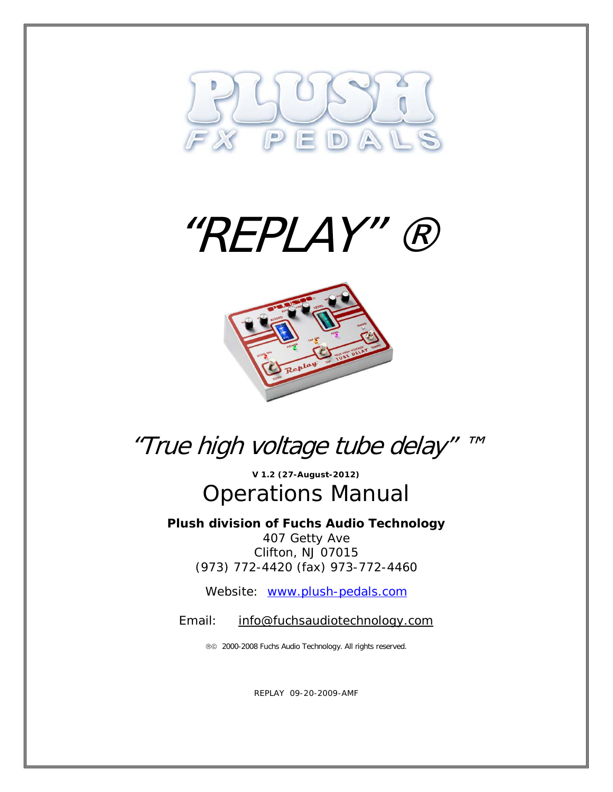





## "True high voltage tube delay" ™

**V 1.2 (27-August-2012)** Operations Manual

**Plush division of Fuchs Audio Technology** 407 Getty Ave Clifton, NJ 07015 (973) 772-4420 (fax) 973-772-4460

Website: [www.plush-pedals.com](http://www.plush-pedals.com/)

Email: [info@fuchsaudiotechnology.com](mailto:info@fuchsaudiotechnology.com)

2000-2008 Fuchs Audio Technology. All rights reserved.

REPLAY 09-20-2009-AMF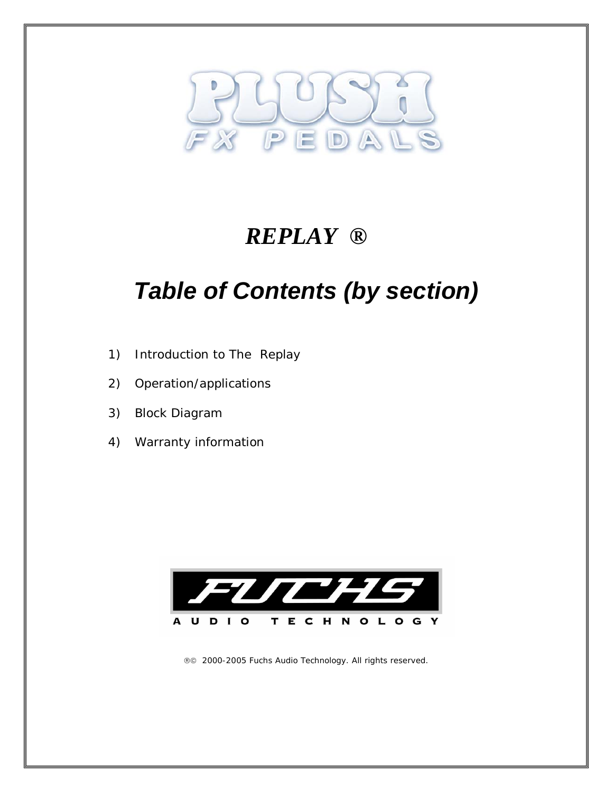

### *REPLAY ®*

# *Table of Contents (by section)*

- 1) Introduction to The Replay
- 2) Operation/applications
- 3) Block Diagram
- 4) Warranty information



2000-2005 Fuchs Audio Technology. All rights reserved.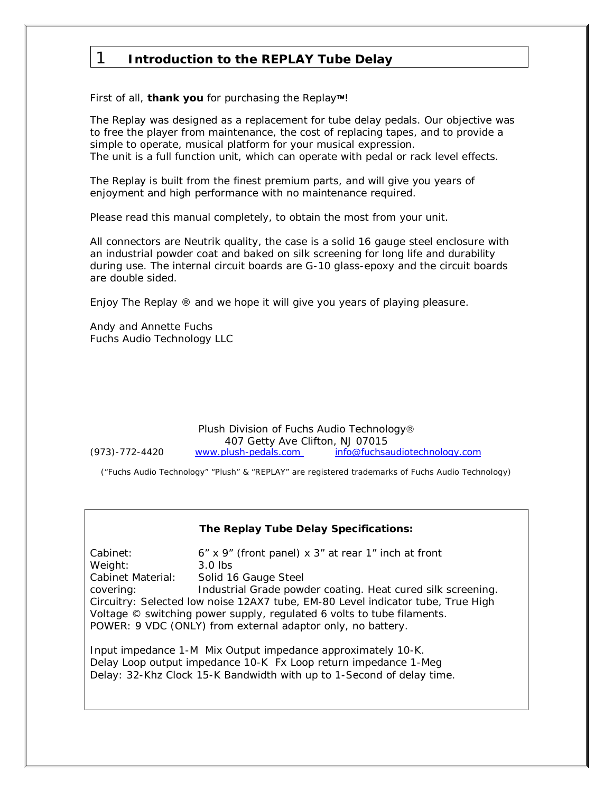### 1 **Introduction to the REPLAY Tube Delay**

First of all, *thank you* for purchasing the Replay™!

The Replay was designed as a replacement for tube delay pedals. Our objective was to free the player from maintenance, the cost of replacing tapes, and to provide a simple to operate, musical platform for your musical expression. The unit is a full function unit, which can operate with pedal or rack level effects.

The Replay is built from the finest premium parts, and will give you years of enjoyment and high performance with no maintenance required.

Please read this manual completely, to obtain the most from your unit.

All connectors are Neutrik quality, the case is a solid 16 gauge steel enclosure with an industrial powder coat and baked on silk screening for long life and durability during use. The internal circuit boards are G-10 glass-epoxy and the circuit boards are double sided.

Enjoy The Replay ® and we hope it will give you years of playing pleasure.

Andy and Annette Fuchs Fuchs Audio Technology LLC

Plush Division of Fuchs Audio Technology 407 Getty Ave Clifton, NJ 07015 (973)-772-4420 www.plush-pedals.com [info@fuchsaudiotechnology.com](mailto:info@fuchsaudiotechnology.com)

└<br>│

("Fuchs Audio Technology" "Plush" & "REPLAY" are registered trademarks of Fuchs Audio Technology)

#### **The Replay Tube Delay Specifications:**

Cabinet:  $6'' \times 9''$  (front panel)  $\times 3''$  at rear 1" inch at front Weight: 3.0 lbs Cabinet Material: Solid 16 Gauge Steel covering: Industrial Grade powder coating. Heat cured silk screening. Circuitry: Selected low noise 12AX7 tube, EM-80 Level indicator tube, True High Voltage © switching power supply, regulated 6 volts to tube filaments. POWER: 9 VDC (ONLY) from external adaptor only, no battery.

Input impedance 1-M Mix Output impedance approximately 10-K. Delay Loop output impedance 10-K Fx Loop return impedance 1-Meg Delay: 32-Khz Clock 15-K Bandwidth with up to 1-Second of delay time.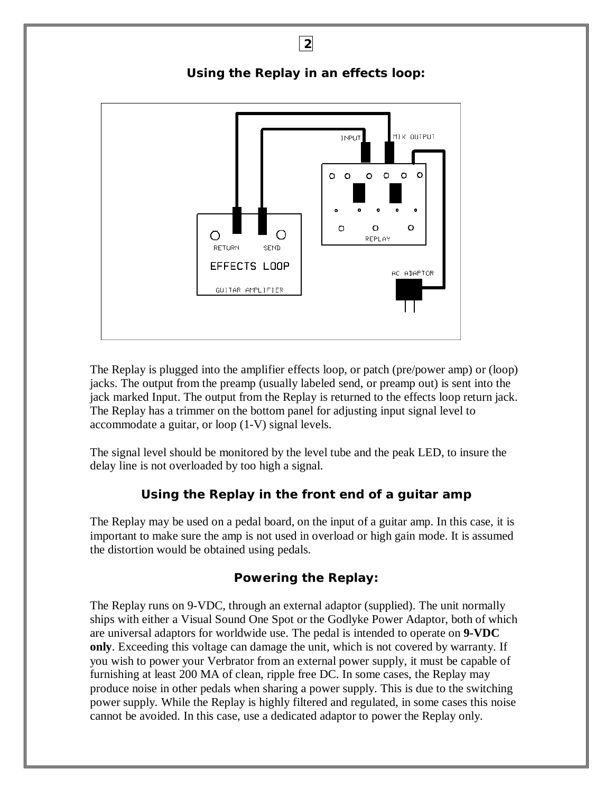

The Replay is plugged into the amplifier effects loop, or patch (pre/power amp) or (loop) jacks. The output from the preamp (usually labeled send, or preamp out) is sent into the jack marked Input. The output from the Replay is returned to the effects loop return jack. The Replay has a trimmer on the bottom panel for adjusting input signal level to accommodate a guitar, or loop (1-V) signal levels.

The signal level should be monitored by the level tube and the peak LED, to insure the delay line is not overloaded by too high a signal.

#### **Using the Replay in the front end of a guitar amp**

The Replay may be used on a pedal board, on the input of a guitar amp. In this case, it is important to make sure the amp is not used in overload or high gain mode. It is assumed the distortion would be obtained using pedals.

#### **Powering the Replay:**

The Replay runs on 9-VDC, through an external adaptor (supplied). The unit normally ships with either a Visual Sound One Spot or the Godlyke Power Adaptor, both of which are universal adaptors for worldwide use. The pedal is intended to operate on **9-VDC only**. Exceeding this voltage can damage the unit, which is not covered by warranty. If you wish to power your Verbrator from an external power supply, it must be capable of furnishing at least 200 MA of clean, ripple free DC. In some cases, the Replay may produce noise in other pedals when sharing a power supply. This is due to the switching power supply. While the Replay is highly filtered and regulated, in some cases this noise cannot be avoided. In this case, use a dedicated adaptor to power the Replay only.

**2** 

**Using the Replay in an effects loop:**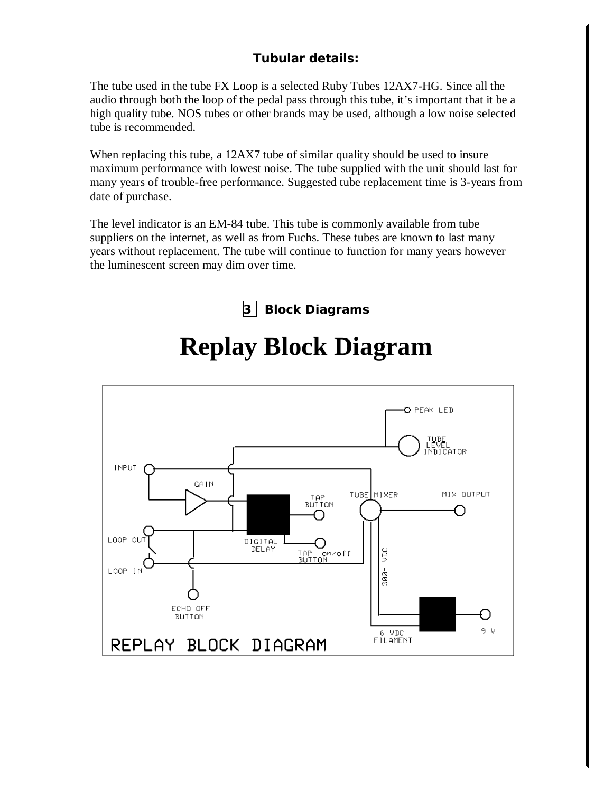### **Tubular details:**

The tube used in the tube FX Loop is a selected Ruby Tubes 12AX7-HG. Since all the audio through both the loop of the pedal pass through this tube, it's important that it be a high quality tube. NOS tubes or other brands may be used, although a low noise selected tube is recommended.

When replacing this tube, a 12AX7 tube of similar quality should be used to insure maximum performance with lowest noise. The tube supplied with the unit should last for many years of trouble-free performance. Suggested tube replacement time is 3-years from date of purchase.

The level indicator is an EM-84 tube. This tube is commonly available from tube suppliers on the internet, as well as from Fuchs. These tubes are known to last many years without replacement. The tube will continue to function for many years however the luminescent screen may dim over time.

**3 Block Diagrams**



# **Replay Block Diagram**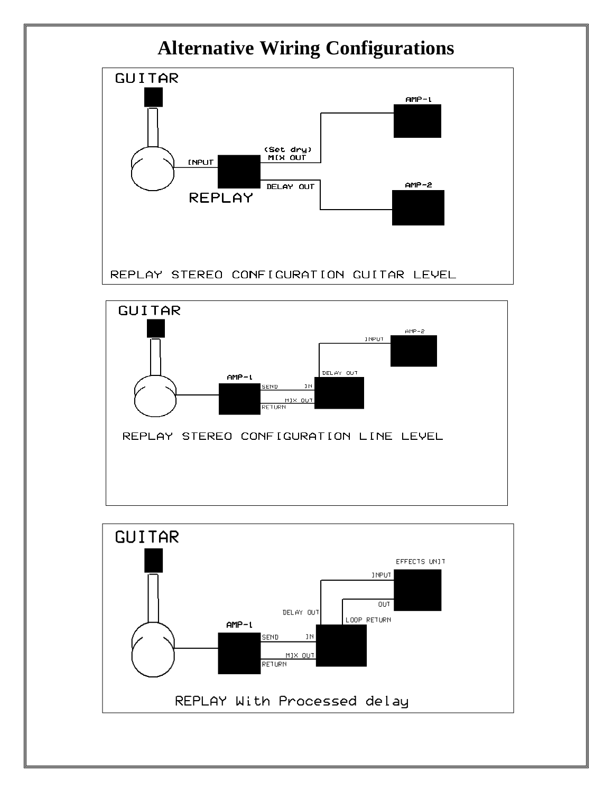### **Alternative Wiring Configurations**





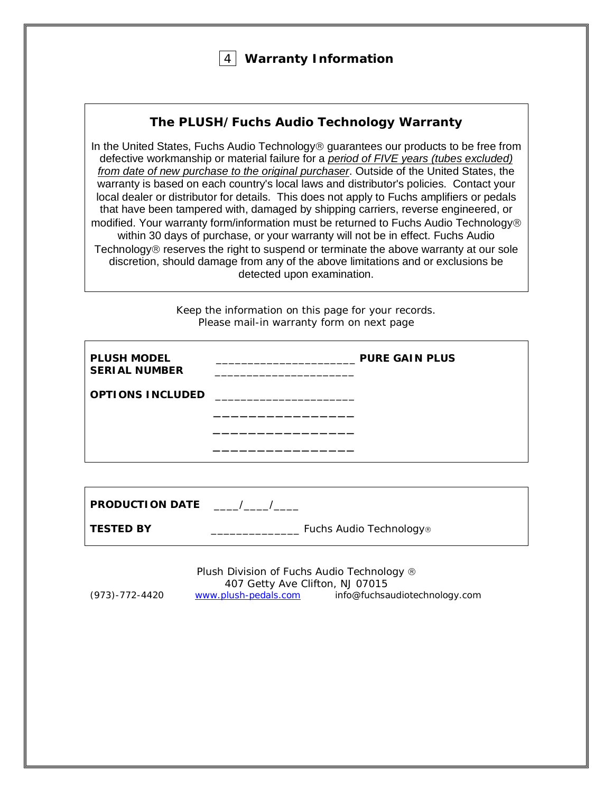#### 4 **Warranty Information**

#### **The PLUSH/Fuchs Audio Technology Warranty**

In the United States, Fuchs Audio Technology<sup>®</sup> guarantees our products to be free from defective workmanship or material failure for a *period of FIVE years (tubes excluded) from date of new purchase to the original purchaser*. Outside of the United States, the warranty is based on each country's local laws and distributor's policies. Contact your local dealer or distributor for details. This does not apply to Fuchs amplifiers or pedals that have been tampered with, damaged by shipping carriers, reverse engineered, or modified. Your warranty form/information must be returned to Fuchs Audio Technology within 30 days of purchase, or your warranty will not be in effect. Fuchs Audio Technology $\circledR$  reserves the right to suspend or terminate the above warranty at our sole discretion, should damage from any of the above limitations and or exclusions be detected upon examination.

> Keep the information on this page for your records. *Please mail-in warranty form on next page*

| <b>PLUSH MODEL</b><br><b>SERIAL NUMBER</b> | <b>PURE GAIN PLUS</b> |
|--------------------------------------------|-----------------------|
| <b>OPTIONS INCLUDED</b>                    |                       |
|                                            |                       |
|                                            |                       |
|                                            |                       |
| <b>PRODUCTION DATE</b>                     |                       |

| Fuchs Audio Technology® |
|-------------------------|
|                         |

Plush Division of Fuchs Audio Technology ® 407 Getty Ave Clifton, NJ 07015<br>www.plush-pedals.com info@fuchsa (973)-772-4420 [www.plush-pedals.com](http://www.plush-pedals.com/) info@fuchsaudiotechnology.com